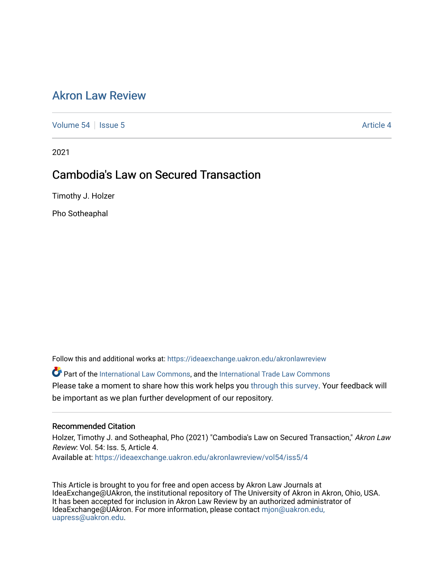# [Akron Law Review](https://ideaexchange.uakron.edu/akronlawreview)

[Volume 54](https://ideaexchange.uakron.edu/akronlawreview/vol54) Session 5 [Article 4](https://ideaexchange.uakron.edu/akronlawreview/vol54/iss5/4) Article 4

2021

# Cambodia's Law on Secured Transaction

Timothy J. Holzer

Pho Sotheaphal

Follow this and additional works at: [https://ideaexchange.uakron.edu/akronlawreview](https://ideaexchange.uakron.edu/akronlawreview?utm_source=ideaexchange.uakron.edu%2Fakronlawreview%2Fvol54%2Fiss5%2F4&utm_medium=PDF&utm_campaign=PDFCoverPages)

Part of the [International Law Commons,](http://network.bepress.com/hgg/discipline/609?utm_source=ideaexchange.uakron.edu%2Fakronlawreview%2Fvol54%2Fiss5%2F4&utm_medium=PDF&utm_campaign=PDFCoverPages) and the [International Trade Law Commons](http://network.bepress.com/hgg/discipline/848?utm_source=ideaexchange.uakron.edu%2Fakronlawreview%2Fvol54%2Fiss5%2F4&utm_medium=PDF&utm_campaign=PDFCoverPages)  Please take a moment to share how this work helps you [through this survey](http://survey.az1.qualtrics.com/SE/?SID=SV_eEVH54oiCbOw05f&URL=https://ideaexchange.uakron.edu/akronlawreview/vol54/iss5/4). Your feedback will be important as we plan further development of our repository.

# Recommended Citation

Holzer, Timothy J. and Sotheaphal, Pho (2021) "Cambodia's Law on Secured Transaction," Akron Law Review: Vol. 54: Iss. 5, Article 4.

Available at: [https://ideaexchange.uakron.edu/akronlawreview/vol54/iss5/4](https://ideaexchange.uakron.edu/akronlawreview/vol54/iss5/4?utm_source=ideaexchange.uakron.edu%2Fakronlawreview%2Fvol54%2Fiss5%2F4&utm_medium=PDF&utm_campaign=PDFCoverPages) 

This Article is brought to you for free and open access by Akron Law Journals at IdeaExchange@UAkron, the institutional repository of The University of Akron in Akron, Ohio, USA. It has been accepted for inclusion in Akron Law Review by an authorized administrator of IdeaExchange@UAkron. For more information, please contact [mjon@uakron.edu,](mailto:mjon@uakron.edu,%20uapress@uakron.edu) [uapress@uakron.edu.](mailto:mjon@uakron.edu,%20uapress@uakron.edu)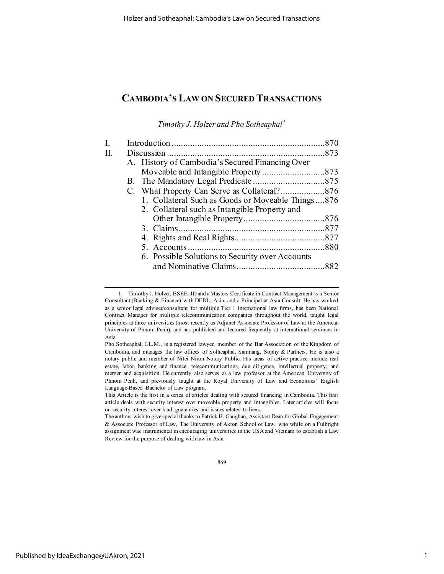*Timothy J. Holzer and Pho Sotheaphal [1](#page-1-0)*

| H. |                                                   |  |
|----|---------------------------------------------------|--|
|    | A. History of Cambodia's Secured Financing Over   |  |
|    |                                                   |  |
|    |                                                   |  |
|    |                                                   |  |
|    | 1. Collateral Such as Goods or Moveable Things876 |  |
|    | 2. Collateral such as Intangible Property and     |  |
|    |                                                   |  |
|    |                                                   |  |
|    |                                                   |  |
|    |                                                   |  |
|    | 6. Possible Solutions to Security over Accounts   |  |
|    |                                                   |  |
|    |                                                   |  |

869

<span id="page-1-0"></span><sup>1.</sup> Timothy J. Holzer, BSEE, JD and a Masters Certificate in Contract Management is a Senior Consultant (Banking & Finance) with DFDL, Asia, and a Principal at Asia Consult. He has worked as a senior legal adviser/consultant for multiple Tier 1 international law firms, has been National Contract Manager for multiple telecommunication companies throughout the world, taught legal principles at three universities (most recently as Adjunct Associate Professor of Law at the American University of Phnom Penh), and has published and lectured frequently at international seminars in Asia.

Pho Sotheaphal, LL.M., is a registered lawyer, member of the Bar Association of the Kingdom of Cambodia, and manages the law offices of Sotheaphal, Samnang, Sophy & Partners. He is also a notary public and member of Nitei Niron Notary Public. His areas of active practice include real estate, labor, banking and finance, telecommunications, due diligence, intellectual property, and merger and acquisition. He currently also serves as a law professor at the American University of Phnom Penh, and previously taught at the Royal University of Law and Economics' English Language-Based Bachelor of Law program.

This Article is the first in a series of articles dealing with secured financing in Cambodia. This first article deals with security interest over moveable property and intangibles. Later articles will focus on security interest over land, guaranties and issues related to liens.

The authors wish to give special thanks to Patrick H. Gaughan, Assistant Dean for Global Engagement & Associate Professor of Law, The University of Akron School of Law, who while on a Fulbright assignment was instrumental in encouraging universities in the USA and Vietnam to establish a Law Review for the purpose of dealing with law in Asia.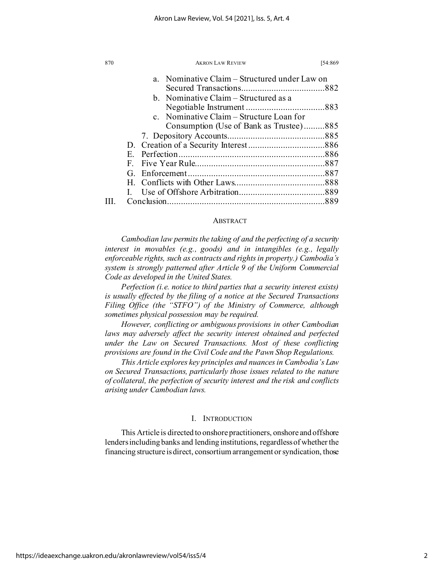| 870 | <b>AKRON LAW REVIEW</b><br>[54:869            |
|-----|-----------------------------------------------|
|     | a. Nominative Claim – Structured under Law on |
|     |                                               |
|     | b. Nominative Claim – Structured as a         |
|     |                                               |
|     | c. Nominative Claim – Structure Loan for      |
|     | Consumption (Use of Bank as Trustee)885       |
|     |                                               |
|     |                                               |
|     | E.                                            |
|     | $F_{-}$                                       |
|     |                                               |
|     |                                               |
|     |                                               |
|     | Conclusion                                    |

# **ABSTRACT**

*Cambodian law permits the taking of and the perfecting of a security interest in movables (e.g., goods) and in intangibles (e.g., legally enforceable rights, such as contracts and rights in property.) Cambodia's system is strongly patterned after Article 9 of the Uniform Commercial Code as developed in the United States.*

*Perfection (i.e. notice to third parties that a security interest exists) is usually effected by the filing of a notice at the Secured Transactions Filing Office (the "STFO") of the Ministry of Commerce, although sometimes physical possession may be required.*

*However, conflicting or ambiguous provisions in other Cambodian*  laws may adversely affect the security interest obtained and perfected *under the Law on Secured Transactions. Most of these conflicting provisions are found in the Civil Code and the Pawn Shop Regulations.*

*This Article explores key principles and nuances in Cambodia's Law on Secured Transactions, particularly those issues related to the nature of collateral, the perfection of security interest and the risk and conflicts arising under Cambodian laws.* 

### I. INTRODUCTION

This Article is directed to onshore practitioners, onshore and offshore lenders including banks and lending institutions, regardless of whether the financing structure is direct, consortium arrangement or syndication, those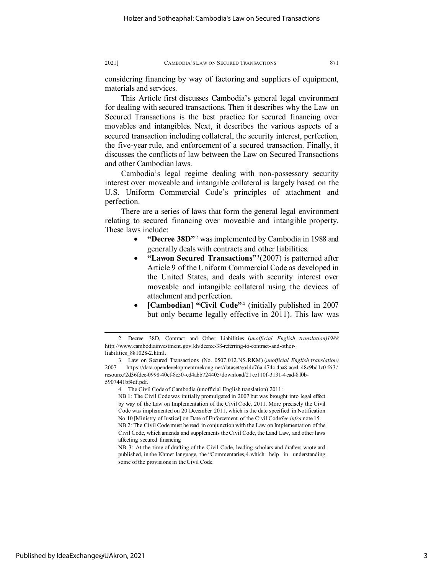considering financing by way of factoring and suppliers of equipment, materials and services.

This Article first discusses Cambodia's general legal environment for dealing with secured transactions. Then it describes why the Law on Secured Transactions is the best practice for secured financing over movables and intangibles. Next, it describes the various aspects of a secured transaction including collateral, the security interest, perfection, the five-year rule, and enforcement of a secured transaction. Finally, it discusses the conflicts of law between the Law on Secured Transactions and other Cambodian laws.

Cambodia's legal regime dealing with non-possessory security interest over moveable and intangible collateral is largely based on the U.S. Uniform Commercial Code's principles of attachment and perfection.

There are a series of laws that form the general legal environment relating to secured financing over moveable and intangible property. These laws include:

- **"Decree 38D"**[2](#page-3-0) was implemented by Cambodia in 1988 and generally deals with contracts and other liabilities.
- **"Lawon Secured Transactions"**[3](#page-3-1)(2007) is patterned after Article 9 of the Uniform Commercial Code as developed in the United States, and deals with security interest over moveable and intangible collateral using the devices of attachment and perfection*.*
- **[Cambodian] "Civil Code"**[4](#page-3-2) (initially published in 2007 but only became legally effective in 2011). This law was

4. The Civil Code of Cambodia (unofficial English translation) 2011:

<span id="page-3-0"></span><sup>2.</sup> Decree 38D, Contract and Other Liabilities (*unofficial English translation)1988* http://www.cambodiainvestment.gov.kh/decree-38-referring-to-contract-and-otherliabilities\_881028-2.html.

<span id="page-3-2"></span><span id="page-3-1"></span><sup>3.</sup> Law on Secured Transactions (No. 0507.012.NS.RKM) (*unofficial English translation)* 2007 https://data.opendevelopmentmekong.net/dataset/ea44c76a-474c-4aa8-ace4-48c9bd1c0 f63/ resource/2d36fdee-0998-40ef-8e50-cd4abb724405/download/21ec110f-3131-4cad-8f0b-5907441bf4df.pdf.

NB 1: The Civil Code was initially promulgated in 2007 but was brought into legal effect by way of the Law on Implementation of the Civil Code, 2011. More precisely the Civil Code was implemented on 20 December 2011, which is the date specified in Notification No 10 [Ministry of Justice] on Date of Enforcement of the Civil Code*See infra* note 15. NB 2: The Civil Code must be read in conjunction with the Law on Implementation of the Civil Code, which amends and supplements the Civil Code, the Land Law, and other laws affecting secured financing

NB 3: At the time of drafting of the Civil Code, leading scholars and drafters wrote and published, in the Khmer language, the "Commentaries*,*4*.*which help in understanding some of the provisions in the Civil Code.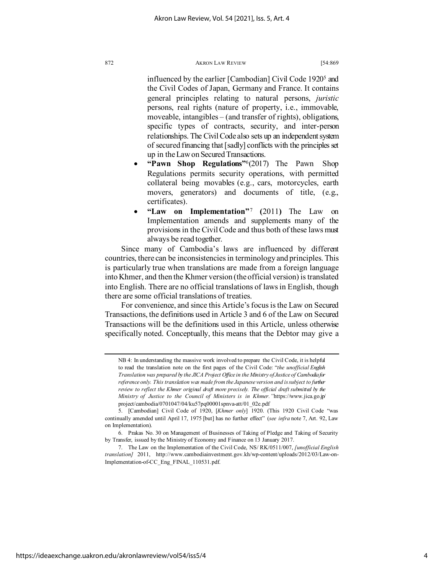influenced by the earlier [Cambodian] Civil Code 1920<sup>5</sup> and the Civil Codes of Japan, Germany and France. It contains general principles relating to natural persons, *juristic* persons, real rights (nature of property, i.e., immovable, moveable, intangibles – (and transfer of rights), obligations, specific types of contracts, security, and inter-person relationships. The Civil Code also sets up an independent system of secured financing that [sadly] conflicts with the principles set up in the Law on Secured Transactions.

- **"Pawn Shop Regulations"**[6](#page-4-1)(2017) The Pawn Shop Regulations permits security operations, with permitted collateral being movables (e.g., cars, motorcycles, earth movers, generators) and documents of title, (e.g., certificates).
- **"Law on Implementation"**[7](#page-4-2) **(**2011**)** The Law on Implementation amends and supplements many of the provisions in the Civil Code and thus both of these laws must always be read together.

Since many of Cambodia's laws are influenced by different countries, there can be inconsistencies in terminology and principles. This is particularly true when translations are made from a foreign language into Khmer, and then the Khmer version (the official version) is translated into English. There are no official translations of laws in English, though there are some official translations of treaties.

For convenience, and since this Article's focus is the Law on Secured Transactions, the definitions used in Article 3 and 6 of the Law on Secured Transactions will be the definitions used in this Article, unless otherwise specifically noted. Conceptually, this means that the Debtor may give a

NB 4: In understanding the massive work involved to prepare the Civil Code, it is helpful to read the translation note on the first pages of the Civil Code: "*the unofficial English Translation was prepared by the JICA Project Office in the Ministry of Justice of Cambodia for reference only. This translation was made from the Japanese version and is subject to further review to reflect the Khmer original draft more precisely. The official draft submitted by the Ministry of Justice to the Council of Ministers is in Khmer."*https://www.jica.go.jp/ project/cambodia/0701047/04/ku57pq00001spnva-att/01\_02e.pdf

<span id="page-4-0"></span><sup>5.</sup> [Cambodian] Civil Code of 1920, [*Khmer only*] 1920. (This 1920 Civil Code "was continually amended until April 17, 1975 [but] has no further effect" (*see infra* note 7, Art. 92, Law on Implementation).

<span id="page-4-1"></span><sup>6.</sup> Prakas No. 30 on Management of Businesses of Taking of Pledge and Taking of Security by Transfer, issued by the Ministry of Economy and Finance on 13 January 2017.

<span id="page-4-2"></span><sup>7.</sup> The Law on the Implementation of the Civil Code, NS/ RK/0511/007, *[unofficial English translation]* 2011, http://www.cambodiainvestment.gov.kh/wp-content/uploads/2012/03/Law-on-Implementation-of-CC\_Eng\_FINAL\_110531.pdf.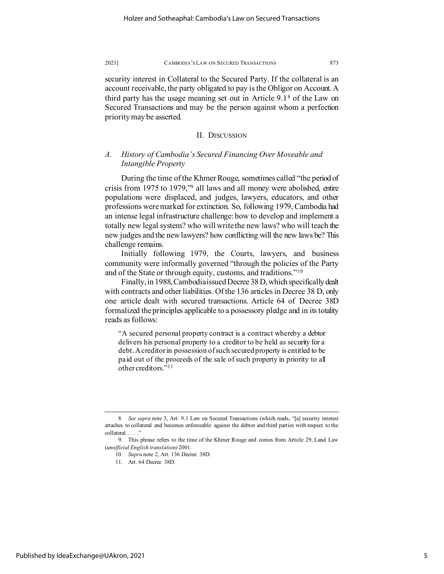security interest in Collateral to the Secured Party. If the collateral is an account receivable, the party obligated to pay is the Obligor on Account. A third party has the usage meaning set out in Article 9.1[8](#page-5-0) of the Law on Secured Transactions and may be the person against whom a perfection priority may be asserted.

### II. DISCUSSION

# *A. History of Cambodia's Secured Financing Over Moveable and Intangible Property*

During the time of the Khmer Rouge, sometimes called "the period of crisis from 1975 to 1979,["9](#page-5-1) all laws and all money were abolished, entire populations were displaced, and judges, lawyers, educators, and other professions were marked for extinction. So, following 1979, Cambodia had an intense legal infrastructure challenge: how to develop and implement a totally new legal system? who will write the new laws? who will teach the new judges and the new lawyers? how conflicting will the new laws be? This challenge remains.

Initially following 1979, the Courts, lawyers, and business community were informally governed "through the policies of the Party and of the State or through equity, customs, and traditions."[10](#page-5-2)

Finally, in 1988, Cambodia issued Decree 38 D, which specifically dealt with contracts and other liabilities. Of the 136 articles in Decree 38 D, only one article dealt with secured transactions. Article 64 of Decree 38D formalized the principles applicable to a possessory pledge and in its totality reads as follows:

"A secured personal property contract is a contract whereby a debtor delivers his personal property to a creditor to be held as security for a debt. A creditor in possession of such secured property is entitled to be paid out of the proceeds of the sale of such property in priority to all other creditors.["11](#page-5-3)

11. Art. 64 Decree 38D.

<span id="page-5-0"></span><sup>8</sup>*. See supra* note 3, Art. 9.1 Law on Secured Transactions (which reads, "[a] security interest attaches to collateral and becomes enforceable against the debtor and third parties with respect to the collateral . . . ."

<span id="page-5-3"></span><span id="page-5-2"></span><span id="page-5-1"></span><sup>9.</sup> This phrase refers to the time of the Khmer Rouge and comes from Article 29, Land Law (*unofficial English translation)* 2001.

<sup>10</sup>*. Supra* note 2, Art. 136 Decree 38D.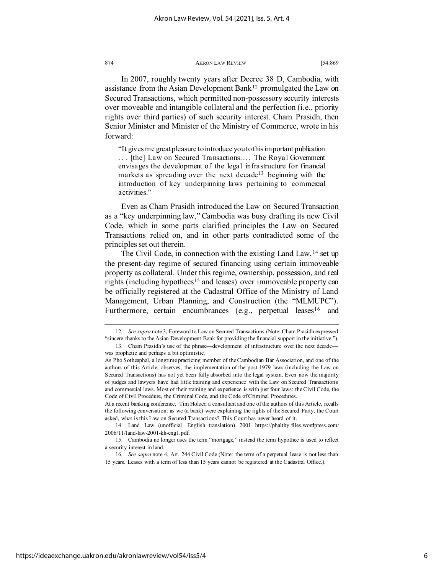In 2007, roughly twenty years after Decree 38 D, Cambodia, with assistance from the Asian Development Bank<sup>[12](#page-6-0)</sup> promulgated the Law on Secured Transactions, which permitted non-possessory security interests over moveable and intangible collateral and the perfection (i.e., priority rights over third parties) of such security interest. Cham Prasidh, then Senior Minister and Minister of the Ministry of Commerce, wrote in his forward:

"It gives me great pleasure to introduce you to this important publication ... [the] Law on Secured Transactions.... The Royal Government envisages the development of the legal infrastructure for financial markets as spreading over the next decade<sup>[13](#page-6-1)</sup> beginning with the introduction of key underpinning laws pertaining to commercial activities."

Even as Cham Prasidh introduced the Law on Secured Transaction as a "key underpinning law," Cambodia was busy drafting its new Civil Code, which in some parts clarified principles the Law on Secured Transactions relied on, and in other parts contradicted some of the principles set out therein.

The Civil Code, in connection with the existing Land Law, <sup>[14](#page-6-2)</sup> set up the present-day regime of secured financing using certain immoveable property as collateral. Under this regime, ownership, possession, and real rights (including hypothecs<sup>[15](#page-6-3)</sup> and leases) over immoveable property can be officially registered at the Cadastral Office of the Ministry of Land Management, Urban Planning, and Construction (the "MLMUPC"). Furthermore, certain encumbrances (e.g., perpetual leases<sup>[16](#page-6-4)</sup> and

At a recent banking conference, Tim Holzer, a consultant and one of the authors of this Article, recalls the following conversation: as we (a bank) were explaining the rights of the Secured Party, the Court asked, what is this Law on Secured Transactions? This Court has never heard of it.

<span id="page-6-2"></span>14. Land Law (unofficial English translation) 2001 https://phalthy.files.wordpress.com/ 2006/11/land-law-2001-kh-eng1.pdf.

<span id="page-6-0"></span><sup>12</sup>*. See supra* note 3, Foreword to Law on Secured Transactions (Note: Cham Prasidh expressed "sincere thanks to the Asian Development Bank for providing the financial support in the initiative.").

<span id="page-6-1"></span><sup>13.</sup> Cham Prasidh's use of the phrase—development of infrastructure over the next decade was prophetic and perhaps a bit optimistic.

As Pho Sotheaphal, a longtime practicing member of the Cambodian Bar Association, and one of the authors of this Article, observes, the implementation of the post 1979 laws (including the Law on Secured Transactions) has not yet been fully absorbed into the legal system. Even now the majority of judges and lawyers have had little training and experience with the Law on Secured Transactions and commercial laws. Most of their training and experience is with just four laws: the Civil Code, the Code of Civil Procedure, the Criminal Code, and the Code of Criminal Procedures.

<span id="page-6-3"></span><sup>15.</sup> Cambodia no longer uses the term "mortgage," instead the term hypothec is used to reflect a security interest in land.

<span id="page-6-4"></span><sup>16</sup>*. See supra* note 4, Art. 244 Civil Code (Note: the term of a perpetual lease is not less than 15 years. Leases with a term of less than 15 years cannot be registered at the Cadastral Office.).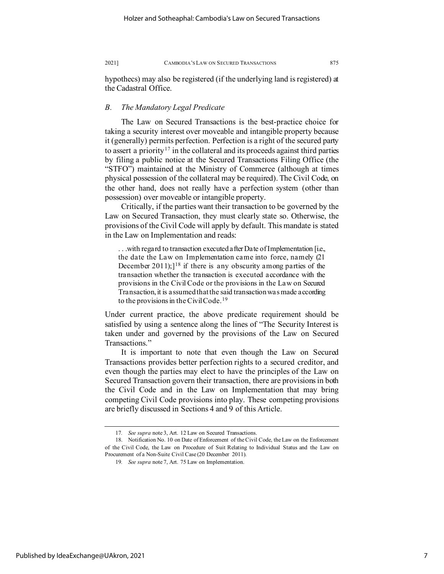hypothecs) may also be registered (if the underlying land is registered) at the Cadastral Office.

## *B. The Mandatory Legal Predicate*

The Law on Secured Transactions is the best-practice choice for taking a security interest over moveable and intangible property because it (generally) permits perfection. Perfection is a right of the secured party to assert a priority<sup>[17](#page-7-0)</sup> in the collateral and its proceeds against third parties by filing a public notice at the Secured Transactions Filing Office (the "STFO") maintained at the Ministry of Commerce (although at times physical possession of the collateral may be required). The Civil Code, on the other hand, does not really have a perfection system (other than possession) over moveable or intangible property.

Critically, if the parties want their transaction to be governed by the Law on Secured Transaction, they must clearly state so. Otherwise, the provisions of the Civil Code will apply by default. This mandate is stated in the Law on Implementation and reads:

. . .with regard to transaction executed after Date of Implementation [i.e., the date the Law on Implementation came into force, namely (21 December 2011); $]^{18}$  $]^{18}$  $]^{18}$  if there is any obscurity among parties of the transaction whether the transaction is executed accordance with the provisions in the Civil Code or the provisions in the Law on Secured Transaction, it is assumed that the said transaction was made according to the provisions in the Civil Code.<sup>[19](#page-7-2)</sup>

Under current practice, the above predicate requirement should be satisfied by using a sentence along the lines of "The Security Interest is taken under and governed by the provisions of the Law on Secured Transactions."

It is important to note that even though the Law on Secured Transactions provides better perfection rights to a secured creditor, and even though the parties may elect to have the principles of the Law on Secured Transaction govern their transaction, there are provisions in both the Civil Code and in the Law on Implementation that may bring competing Civil Code provisions into play. These competing provisions are briefly discussed in Sections 4 and 9 of this Article.

<sup>17</sup>*. See supra* note 3, Art. 12 Law on Secured Transactions.

<span id="page-7-2"></span><span id="page-7-1"></span><span id="page-7-0"></span><sup>18.</sup> Notification No. 10 on Date of Enforcement of the Civil Code, the Law on the Enforcement of the Civil Code, the Law on Procedure of Suit Relating to Individual Status and the Law on Procurement of a Non-Suite Civil Case (20 December 2011).

<sup>19</sup>*. See supra* note 7, Art. 75 Law on Implementation.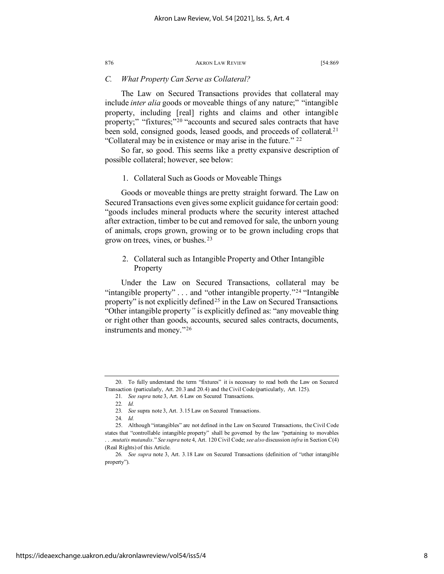### *C. What Property Can Serve as Collateral?*

The Law on Secured Transactions provides that collateral may include *inter alia* goods or moveable things of any nature;" "intangible property, including [real] rights and claims and other intangible property;" "fixtures;"<sup>[20](#page-8-0)</sup> "accounts and secured sales contracts that have been sold, consigned goods, leased goods, and proceeds of collateral.<sup>[21](#page-8-1)</sup> "Collateral may be in existence or may arise in the future." [22](#page-8-2)

So far, so good. This seems like a pretty expansive description of possible collateral; however, see below:

### 1. Collateral Such as Goods or Moveable Things

Goods or moveable things are pretty straight forward. The Law on Secured Transactions even gives some explicit guidance for certain good: "goods includes mineral products where the security interest attached after extraction, timber to be cut and removed for sale, the unborn young of animals, crops grown, growing or to be grown including crops that grow on trees, vines, or bushes. [23](#page-8-3)

# 2. Collateral such as Intangible Property and Other Intangible Property

Under the Law on Secured Transactions, collateral may be "intangible property"  $\dots$  and "other intangible property."<sup>[24](#page-8-4)</sup> "Intangible" property" is not explicitly defined<sup>[25](#page-8-5)</sup> in the Law on Secured Transactions. "Other intangible property*"* is explicitly defined as: "any moveable thing or right other than goods, accounts, secured sales contracts, documents, instruments and money."[26](#page-8-6)

<span id="page-8-1"></span><span id="page-8-0"></span><sup>20.</sup> To fully understand the term "fixtures" it is necessary to read both the Law on Secured Transaction (particularly, Art. 20.3 and 20.4) and the Civil Code (particularly, Art. 125).

<sup>21</sup>*. See supra* note 3, Art. 6 Law on Secured Transactions.

<sup>22</sup>*. Id.*

<sup>23</sup>*. See* supra note 3, Art. 3.15 Law on Secured Transactions.

<sup>24</sup>*. Id.*

<span id="page-8-5"></span><span id="page-8-4"></span><span id="page-8-3"></span><span id="page-8-2"></span><sup>25.</sup> Although "intangibles" are not defined in the Law on Secured Transactions, the Civil Code states that "controllable intangible property" shall be governed by the law "pertaining to movables . . .*mutatis mutandis*." *See supra* note 4, Art. 120 Civil Code; *see also* discussion *infra* in Section C(4) (Real Rights) of this Article.

<span id="page-8-6"></span><sup>26</sup>*. See supra* note 3, Art. 3.18 Law on Secured Transactions (definition of "other intangible property").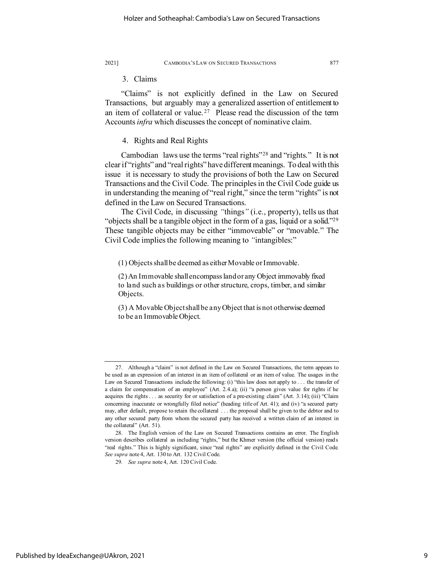### 3. Claims

"Claims" is not explicitly defined in the Law on Secured Transactions, but arguably may a generalized assertion of entitlement to an item of collateral or value.<sup>27</sup> Please read the discussion of the term Accounts *infra* which discusses the concept of nominative claim.

# 4. Rights and Real Rights

Cambodian laws use the terms "real rights"[28](#page-9-1) and "rights." It is not clear if "rights" and "real rights" have different meanings. To deal with this issue it is necessary to study the provisions of both the Law on Secured Transactions and the Civil Code. The principles in the Civil Code guide us in understanding the meaning of "real right," since the term "rights" is not defined in the Law on Secured Transactions.

The Civil Code, in discussing *"*things*"* (i.e., property), tells us that "objects shall be a tangible object in the form of a gas, liquid or a solid.["29](#page-9-2) These tangible objects may be either "immoveable" or "movable." The Civil Code implies the following meaning to *"*intangibles:"

(1) Objects shall be deemed as either Movable or Immovable.

(2) An Immovable shall encompass land or any Object immovably fixed to land such as buildings or other structure, crops, timber, and similar Objects.

(3) A Movable Object shall be any Object that is not otherwise deemed to be an Immovable Object.

<span id="page-9-0"></span><sup>27.</sup> Although a "claim" is not defined in the Law on Secured Transactions, the term appears to be used as an expression of an interest in an item of collateral or an item of value. The usages in the Law on Secured Transactions include the following: (i) "this law does not apply to . . . the transfer of a claim for compensation of an employee" (Art. 2.4.a); (ii) "a person gives value for rights if he acquires the rights . . . as security for or satisfaction of a pre-existing claim" (Art. 3.14); (iii) "Claim concerning inaccurate or wrongfully filed notice" (heading title of Art. 41); and (iv) "a secured party may, after default, propose to retain the collateral . . . the proposal shall be given to the debtor and to any other secured party from whom the secured party has received a written claim of an interest in the collateral" (Art. 51).

<span id="page-9-2"></span><span id="page-9-1"></span><sup>28.</sup> The English version of the Law on Secured Transactions contains an error. The English version describes collateral as including "rights," but the Khmer version (the official version) reads "real rights." This is highly significant, since "real rights" are explicitly defined in the Civil Code. *See supra* note 4, Art. 130 to Art. 132 Civil Code.

<sup>29</sup>*. See supra* note 4, Art. 120 Civil Code.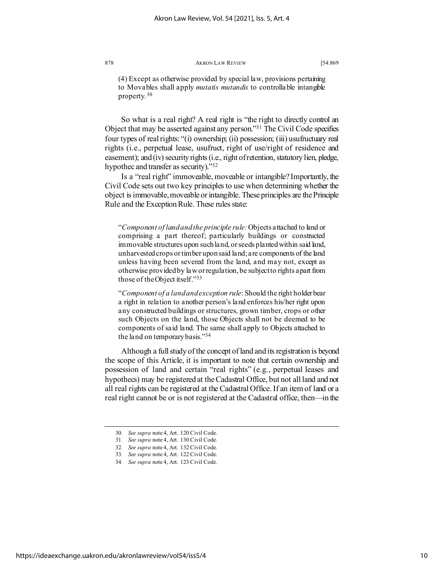(4) Except as otherwise provided by special law, provisions pertaining to Movables shall apply *mutatis mutandis* to controllable intangible property.[30](#page-10-0)

So what is a real right? A real right is "the right to directly control an Object that may be asserted against any person."[31](#page-10-1) The Civil Code specifies four types of real rights: "(i) ownership; (ii) possession; (iii) usufructuary real rights (i.e., perpetual lease, usufruct, right of use/right of residence and easement); and (iv) security rights (i.e., right of retention, statutory lien, pledge, hypothec and transfer as security)."[32](#page-10-2)

Is a "real right" immoveable, moveable or intangible? Importantly, the Civil Code sets out two key principles to use when determining whether the object is immovable, moveable or intangible. These principles are the Principle Rule and the Exception Rule. These rules state:

"*Component of land and the principle rule:*Objects attached to land or comprising a part thereof; particularly buildings or constructed immovable structures upon such land, or seeds planted within said land, unharvested crops or timber upon said land; are components of the land unless having been severed from the land, and may not, except as otherwise provided by law or regulation, be subject to rights apart from those of the Object itself.["33](#page-10-3)

"*Component of a land and exception rule*: Should the right holder bear a right in relation to another person's land enforces his/her right upon any constructed buildings or structures, grown timber, crops or other such Objects on the land, those Objects shall not be deemed to be components of said land. The same shall apply to Objects attached to the land on temporary basis.["34](#page-10-4)

Although a full study of the concept of land and its registration is beyond the scope of this Article, it is important to note that certain ownership and possession of land and certain "real rights" (e.g., perpetual leases and hypothecs) may be registered at the Cadastral Office, but not all land and not all real rights can be registered at the Cadastral Office. If an item of land or a real right cannot be or is not registered at the Cadastral office, then—in the

<span id="page-10-0"></span><sup>30</sup>*. See supra* note 4, Art. 120 Civil Code.

<sup>31</sup>*. See supra* note 4, Art. 130 Civil Code.

<span id="page-10-3"></span><span id="page-10-2"></span><span id="page-10-1"></span><sup>32</sup>*. See supra* note 4, Art. 132 Civil Code.

<span id="page-10-4"></span><sup>33</sup>*. See supra* note 4, Art. 122 Civil Code.

<sup>34</sup>*. See supra* note 4, Art. 123 Civil Code.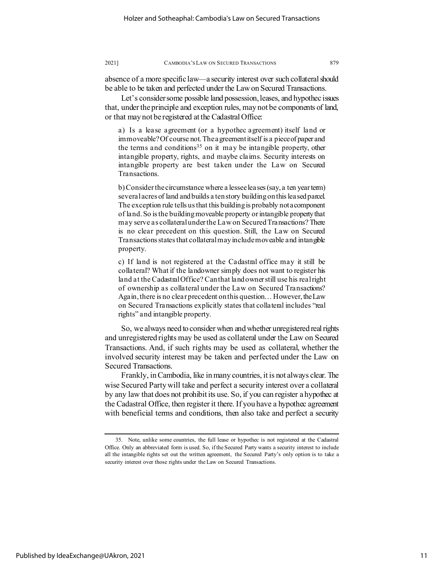absence of a more specific law—a security interest over such collateral should be able to be taken and perfected under the Law on Secured Transactions.

Let's consider some possible land possession, leases, and hypothec issues that, under the principle and exception rules, may not be components of land, or that may not be registered at the Cadastral Office:

a) Is a lease agreement (or a hypothec agreement) itself land or immoveable? Of course not. The agreement itself is a piece of paper and the terms and conditions<sup>35</sup> on it may be intangible property, other intangible property, rights, and maybe claims. Security interests on intangible property are best taken under the Law on Secured Transactions.

b) Consider the circumstance where a lessee leases (say, a ten year term) several acres of land and builds a ten story building on this leased parcel. The exception rule tells us that this building is probably not a component of land. So is the building moveable property or intangible property that may serve as collateral under the Law on Secured Transactions? There is no clear precedent on this question. Still, the Law on Secured Transactions states that collateral may include moveable and intangible property.

c) If land is not registered at the Cadastral office may it still be collateral? What if the landowner simply does not want to register his land at the Cadastral Office? Can that land owner still use his real right of ownership as collateral under the Law on Secured Transactions? Again, there is no clear precedent on this question… However, the Law on Secured Transactions explicitly states that collateral includes "real rights" and intangible property.

So, we always need to consider when and whether unregistered real rights and unregistered rights may be used as collateral under the Law on Secured Transactions. And, if such rights may be used as collateral, whether the involved security interest may be taken and perfected under the Law on Secured Transactions.

Frankly, in Cambodia, like in many countries, it is not always clear. The wise Secured Party will take and perfect a security interest over a collateral by any law that does not prohibit its use. So, if you can register a hypothec at the Cadastral Office, then register it there. If you have a hypothec agreement with beneficial terms and conditions, then also take and perfect a security

<span id="page-11-0"></span><sup>35.</sup> Note, unlike some countries, the full lease or hypothec is not registered at the Cadastral Office. Only an abbreviated form is used. So, if the Secured Party wants a security interest to include all the intangible rights set out the written agreement, the Secured Party's only option is to take a security interest over those rights under the Law on Secured Transactions.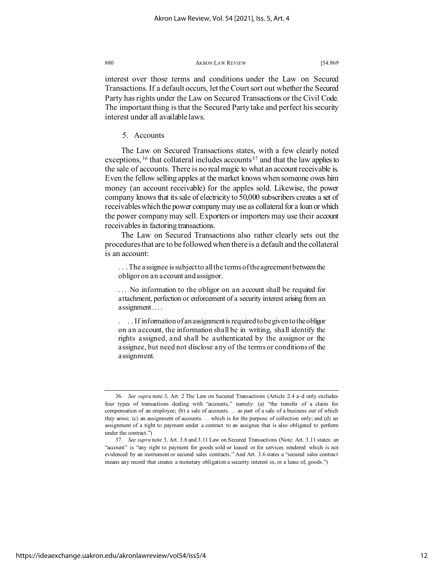interest over those terms and conditions under the Law on Secured Transactions. If a default occurs, let the Court sort out whether the Secured Party has rights under the Law on Secured Transactions or the Civil Code. The important thing is that the Secured Party take and perfect his security interest under all available laws.

5. Accounts

The Law on Secured Transactions states, with a few clearly noted exceptions,  $36$  that collateral includes accounts  $37$  and that the law applies to the sale of accounts. There is no real magic to what an account receivable is. Even the fellow selling apples at the market knows when someone owes him money (an account receivable) for the apples sold. Likewise, the power company knows that its sale of electricity to 50,000 subscribers creates a set of receivables which the power company may use as collateral for a loan or which the power company may sell. Exporters or importers may use their account receivables in factoring transactions.

The Law on Secured Transactions also rather clearly sets out the procedures that are to be followed when there is a default and the collateral is an account:

. . . The assignee is subject to all the terms of the agreement between the obligor on an account and assignor.

... No information to the obligor on an account shall be required for attachment, perfection or enforcement of a security interest arising from an assignment....

. . . If information of an assignment is requiredto be given to the obligor on an account, the information shall be in writing, shall identify the rights assigned, and shall be authenticated by the assignor or the assignee, but need not disclose any of the terms or conditions of the assignment.

<span id="page-12-0"></span><sup>36</sup>*. See supra* note 3, Art. 2 The Law on Secured Transactions (Article 2.4 a–d only excludes four types of transactions dealing with "accounts," namely: (a) "the transfer of a claim for compensation of an employee; (b) a sale of accounts. . . as part of a sale of a business out of which they arose; (c) an assignment of accounts. . . which is for the purpose of collection only; and (d) an assignment of a right to payment under a contract to an assignee that is also obligated to perform under the contract.")

<span id="page-12-1"></span><sup>37</sup>*. See supra* note 3, Art. 3.6 and 3.11 Law on Secured Transactions (Note: Art. 3.11 states: an "account" is "any right to payment for goods sold or leased or for services rendered which is not evidenced by an instrument or secured sales contracts." And Art. 3.6 states a "secured sales contract means any record that creates a monetary obligation a security interest in, or a lease of, goods.")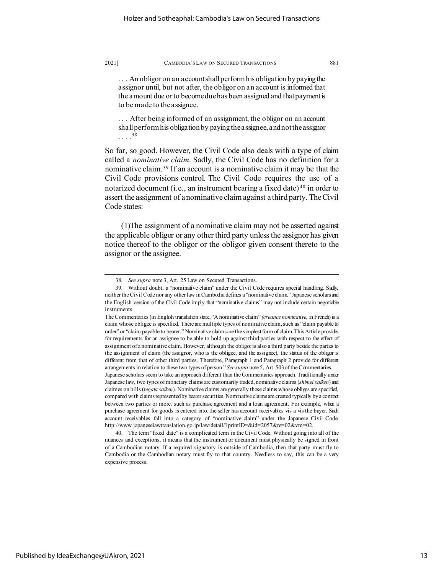... An obligor on an account shall perform his obligation by paying the assignor until, but not after, the obligor on an account is informed that the amount due or to become due has been assigned and that payment is to be made to the assignee.

. . . After being informed of an assignment, the obligor on an account shall perform his obligation by paying the assignee, and not the assignor . . . .[38](#page-13-0)

So far, so good. However, the Civil Code also deals with a type of claim called a *nominative claim*. Sadly, the Civil Code has no definition for a nominative claim. [39](#page-13-1) If an account is a nominative claim it may be that the Civil Code provisions control. The Civil Code requires the use of a notarized document (i.e., an instrument bearing a fixed date)<sup>[40](#page-13-2)</sup> in order to assert the assignment of a nominative claim against a third party. The Civil Code states:

(1)The assignment of a nominative claim may not be asserted against the applicable obligor or any other third party unless the assignor has given notice thereof to the obligor or the obligor given consent thereto to the assignor or the assignee.

<span id="page-13-2"></span>40. The term "fixed date" is a complicated term in the Civil Code. Without going into all of the nuances and exceptions, it means that the instrument or document must physically be signed in front of a Cambodian notary. If a required signatory is outside of Cambodia, then that party must fly to Cambodia or the Cambodian notary must fly to that country. Needless to say, this can be a very expensive process.

<sup>38</sup>*. See supra* note 3, Art. 25 Law on Secured Transactions.

<span id="page-13-1"></span><span id="page-13-0"></span><sup>39.</sup> Without doubt, a "nominative claim" under the Civil Code requires special handling. Sadly, neither the Civil Code nor any other law in Cambodia defines a "nominative claim." Japanese scholars and the English version of the Civil Code imply that "nominative claims" may not include certain negotiable instruments.

The Commentaries (in English translation state, "A nominative claim" *(creance nominative,* in French) is a claim whose obligee is specified. There are multiple types of nominative claim, such as "claim payable to order" or "claim payable to bearer." Nominative claims are the simplest form of claim. This Article provides for requirements for an assignee to be able to hold up against third parties with respect to the effect of assignment of a nominative claim. However, although the obligor is also a third party beside the parties to the assignment of claim (the assignor, who is the obligee, and the assignee), the status of the obligor is different from that of other third parties. Therefore, Paragraph 1 and Paragraph 2 provide for different arrangements in relation to these two types of person." *See supra* note 5, Art. 503 of the Commentaries.

Japanese scholars seem to take an approach different than the Commentaries approach. Traditionally under Japanese law, two types of monetary claims are customarily traded, nominative claims (*shimei saiken*) and claimes on bills (*tegata saiken*). Nominative claims are generally those claims whose obliges are specified, compared with claims represented by bearer securities. Nominative claims are created typically by a contract between two parties or more, such as purchase agreement and a loan agreement. For example, when a purchase agreement for goods is entered into, the seller has account receivables vis a vis the buyer. Such account receivables fall into a category of "nominative claim" under the Japanese Civil Code. http://www.japaneselawtranslation.go.jp/law/detail/?printID=&id=2057&re=02&vm=02.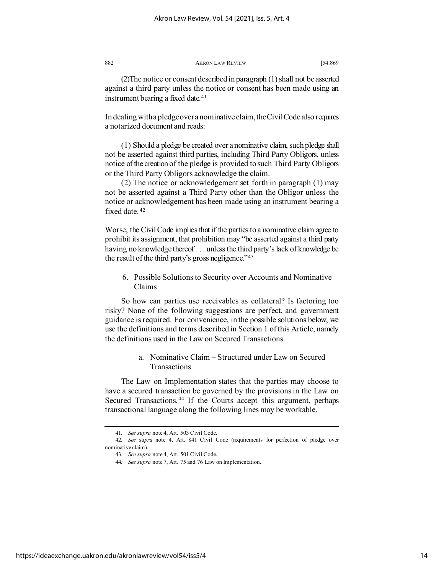(2)The notice or consent described in paragraph (1) shall not be asserted against a third party unless the notice or consent has been made using an instrument bearing a fixed date.<sup>[41](#page-14-0)</sup>

In dealing with a pledge over a nominative claim, the Civil Code also requires a notarized document and reads:

(1) Should a pledge be created over a nominative claim, such pledge shall not be asserted against third parties, including Third Party Obligors, unless notice of the creation of the pledge is provided to such Third Party Obligors or the Third Party Obligors acknowledge the claim.

(2) The notice or acknowledgement set forth in paragraph (1) may not be asserted against a Third Party other than the Obligor unless the notice or acknowledgement has been made using an instrument bearing a fixed date. [42](#page-14-1)

Worse, the Civil Code implies that if the parties to a nominative claim agree to prohibit its assignment, that prohibition may "be asserted against a third party having no knowledge thereof . . . unless the third party's lack of knowledge be the result of the third party's gross negligence."<sup>[43](#page-14-2)</sup>

6. Possible Solutions to Security over Accounts and Nominative Claims

So how can parties use receivables as collateral? Is factoring too risky? None of the following suggestions are perfect, and government guidance is required. For convenience, in the possible solutions below, we use the definitions and terms described in Section 1 of this Article, namely the definitions used in the Law on Secured Transactions.

# a. Nominative Claim – Structured under Law on Secured Transactions

The Law on Implementation states that the parties may choose to have a secured transaction be governed by the provisions in the Law on Secured Transactions. [44](#page-14-3) If the Courts accept this argument, perhaps transactional language along the following lines may be workable.

<sup>41</sup>*. See supra* note 4, Art. 503 Civil Code.

<span id="page-14-3"></span><span id="page-14-2"></span><span id="page-14-1"></span><span id="page-14-0"></span><sup>42</sup>*. See* su*pra* note 4, Art. 841 Civil Code (requirements for perfection of pledge over nominative claim).

<sup>43</sup>*. See supra* note 4, Art. 501 Civil Code.

<sup>44</sup>*. See supra* note 7, Art. 75 and 76 Law on Implementation.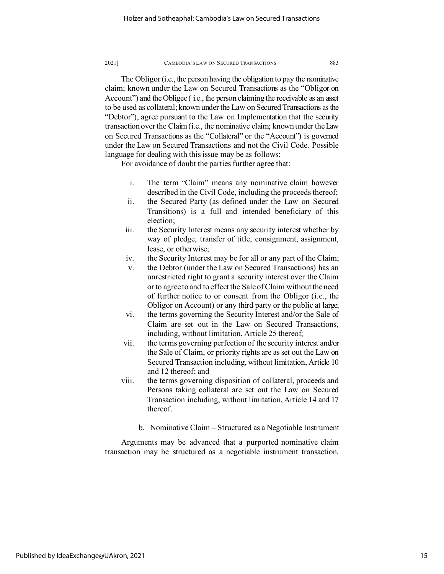The Obligor (i.e., the person having the obligation to pay the nominative claim; known under the Law on Secured Transactions as the "Obligor on Account") and the Obligee (i.e., the person claiming the receivable as an asset to be used as collateral; known under the Law on Secured Transactions as the "Debtor"), agree pursuant to the Law on Implementation that the security transaction over the Claim (i.e., the nominative claim; known under the Law on Secured Transactions as the "Collateral" or the "Account") is governed under the Law on Secured Transactions and not the Civil Code. Possible language for dealing with this issue may be as follows:

For avoidance of doubt the parties further agree that:

- i. The term "Claim" means any nominative claim however described in the Civil Code, including the proceeds thereof;
- ii. the Secured Party (as defined under the Law on Secured Transitions) is a full and intended beneficiary of this election;
- iii. the Security Interest means any security interest whether by way of pledge, transfer of title, consignment, assignment, lease, or otherwise;
- iv. the Security Interest may be for all or any part of the Claim;
- v. the Debtor (under the Law on Secured Transactions) has an unrestricted right to grant a security interest over the Claim or to agree to and to effect the Sale of Claim without the need of further notice to or consent from the Obligor (i.e., the Obligor on Account) or any third party or the public at large;
- vi. the terms governing the Security Interest and/or the Sale of Claim are set out in the Law on Secured Transactions, including, without limitation, Article 25 thereof;
- vii. the terms governing perfection of the security interest and/or the Sale of Claim, or priority rights are as set out the Law on Secured Transaction including, without limitation, Article 10 and 12 thereof; and
- viii. the terms governing disposition of collateral, proceeds and Persons taking collateral are set out the Law on Secured Transaction including, without limitation, Article 14 and 17 thereof.
	- b. Nominative Claim Structured as a Negotiable Instrument

Arguments may be advanced that a purported nominative claim transaction may be structured as a negotiable instrument transaction.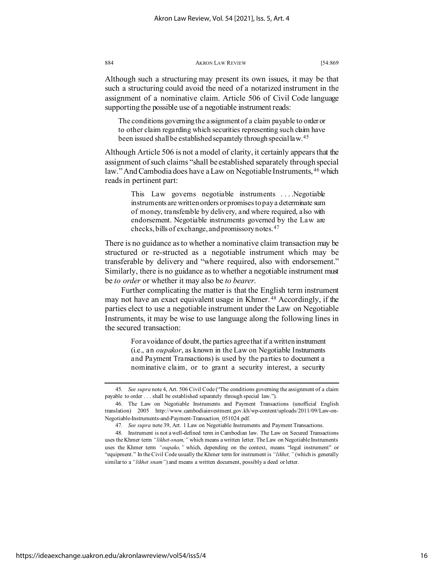Although such a structuring may present its own issues, it may be that such a structuring could avoid the need of a notarized instrument in the assignment of a nominative claim. Article 506 of Civil Code language supporting the possible use of a negotiable instrument reads:

The conditions governing the assignment of a claim payable to order or to other claim regarding which securities representing such claim have been issued shall be established separately through special law.[45](#page-16-0)

Although Article 506 is not a model of clarity, it certainly appears that the assignment of such claims "shall be established separately through special law." And Cambodia does have a Law on Negotiable Instruments, <sup>[46](#page-16-1)</sup> which reads in pertinent part:

> This Law governs negotiable instruments . . . .Negotiable instruments are written orders or promises to pay a determinate sum of money, transferable by delivery, and where required, also with endorsement. Negotiable instruments governed by the Law are checks, bills of exchange, and promissory notes.[47](#page-16-2)

There is no guidance as to whether a nominative claim transaction may be structured or re-structed as a negotiable instrument which may be transferable by delivery and "where required, also with endorsement." Similarly, there is no guidance as to whether a negotiable instrument must be *to order* or whether it may also be *to bearer*.

Further complicating the matter is that the English term instrument may not have an exact equivalent usage in Khmer. [48](#page-16-3) Accordingly, if the parties elect to use a negotiable instrument under the Law on Negotiable Instruments, it may be wise to use language along the following lines in the secured transaction:

> For avoidance of doubt, the parties agree that if a written instrument (i.e., an *oupakor*, as known in the Law on Negotiable Instruments and Payment Transactions) is used by the parties to document a nominative claim, or to grant a security interest, a security

<span id="page-16-0"></span><sup>45</sup>*. See supra* note 4, Art. 506 Civil Code ("The conditions governing the assignment of a claim payable to order . . . shall be established separately through special law.").

<span id="page-16-1"></span><sup>46.</sup> The Law on Negotiable Instruments and Payment Transactions (unofficial English translation) 2005 http://www.cambodiainvestment.gov.kh/wp-content/uploads/2011/09/Law-on-Negotiable-Instruments-and-Payment-Transaction\_051024.pdf.

<sup>47</sup>*. See supra* note 39, Art. 1 Law on Negotiable Instruments and Payment Transactions.

<span id="page-16-3"></span><span id="page-16-2"></span><sup>48.</sup> Instrument is not a well-defined term in Cambodian law. The Law on Secured Transactions uses the Khmer term *"likhet-snam,"* which means a written letter. The Law on Negotiable Instruments uses the Khmer term *"oupako,"* which, depending on the context, means "legal instrument" or "equipment." In the Civil Code usually the Khmer term for instrument is *"likhet,"* (which is generally similar to a *"likhet snam"*) and means a written document, possibly a deed or letter.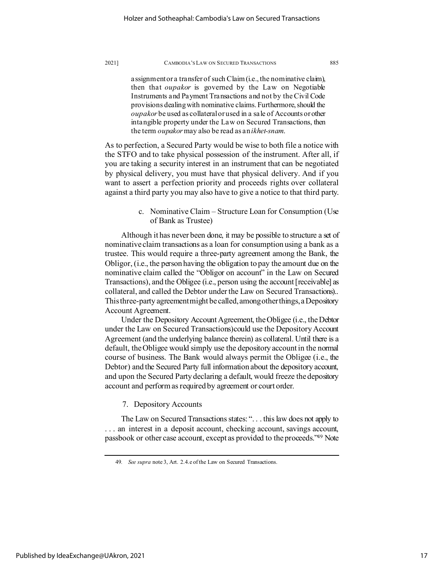assignment or a transfer of such Claim (i.e., the nominative claim), then that *oupakor* is governed by the Law on Negotiable Instruments and Payment Transactions and not by the Civil Code provisions dealing with nominative claims. Furthermore, should the *oupakor* be used as collateral or used in a sale of Accounts or other intangible property under the Law on Secured Transactions, then the term *oupakor* may also be read as an *ikhet-snam*.

As to perfection, a Secured Party would be wise to both file a notice with the STFO and to take physical possession of the instrument. After all, if you are taking a security interest in an instrument that can be negotiated by physical delivery, you must have that physical delivery. And if you want to assert a perfection priority and proceeds rights over collateral against a third party you may also have to give a notice to that third party.

# c. Nominative Claim – Structure Loan for Consumption (Use of Bank as Trustee)

Although it has never been done, it may be possible to structure a set of nominative claim transactions as a loan for consumption using a bank as a trustee. This would require a three-party agreement among the Bank, the Obligor, (i.e., the person having the obligation to pay the amount due on the nominative claim called the "Obligor on account" in the Law on Secured Transactions), and the Obligee (i.e., person using the account [receivable] as collateral, and called the Debtor under the Law on Secured Transactions).. This three-party agreement might be called, among other things, a Depository Account Agreement.

Under the Depository Account Agreement, the Obligee (i.e., the Debtor under the Law on Secured Transactions)could use the Depository Account Agreement (and the underlying balance therein) as collateral. Until there is a default, the Obligee would simply use the depository account in the normal course of business. The Bank would always permit the Obligee (i.e., the Debtor) and the Secured Party full information about the depository account, and upon the Secured Party declaring a default, would freeze the depository account and perform as required by agreement or court order.

## 7. Depository Accounts

The Law on Secured Transactions states: ". . . this law does not apply to . . . an interest in a deposit account, checking account, savings account, passbook or other case account, except as provided to the proceeds.["49](#page-17-0) Note

<span id="page-17-0"></span><sup>49</sup>*. See supra* note 3, Art. 2.4.e of the Law on Secured Transactions.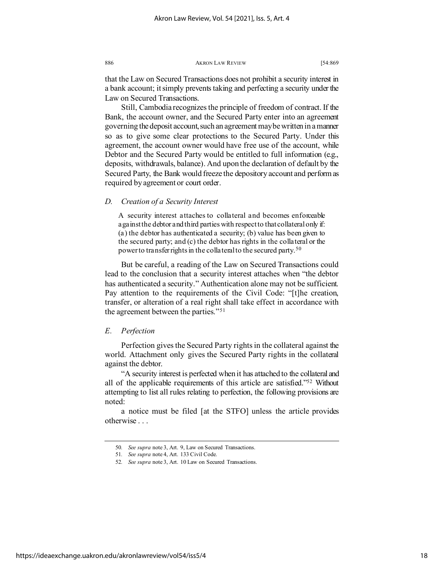that the Law on Secured Transactions does not prohibit a security interest in a bank account; it simply prevents taking and perfecting a security under the Law on Secured Transactions.

Still, Cambodia recognizes the principle of freedom of contract. If the Bank, the account owner, and the Secured Party enter into an agreement governing the deposit account, such an agreement may bewritten in a manner so as to give some clear protections to the Secured Party. Under this agreement, the account owner would have free use of the account, while Debtor and the Secured Party would be entitled to full information (e.g., deposits, withdrawals, balance). And upon the declaration of default by the Secured Party, the Bank would freeze the depository account and perform as required by agreement or court order.

### *D. Creation of a Security Interest*

A security interest attaches to collateral and becomes enforceable against the debtor and third parties with respect to that collateral only if: (a) the debtor has authenticated a security; (b) value has been given to the secured party; and (c) the debtor has rights in the collateral or the power to transfer rights in the collateral to the secured party.[50](#page-18-0)

But be careful, a reading of the Law on Secured Transactions could lead to the conclusion that a security interest attaches when "the debtor has authenticated a security." Authentication alone may not be sufficient. Pay attention to the requirements of the Civil Code: "[t]he creation, transfer, or alteration of a real right shall take effect in accordance with the agreement between the parties."[51](#page-18-1)

### *E. Perfection*

Perfection gives the Secured Party rights in the collateral against the world. Attachment only gives the Secured Party rights in the collateral against the debtor.

"A security interest is perfected when it has attached to the collateral and all of the applicable requirements of this article are satisfied.["52](#page-18-2) Without attempting to list all rules relating to perfection, the following provisions are noted:

<span id="page-18-1"></span><span id="page-18-0"></span>a notice must be filed [at the STFO] unless the article provides otherwise . . .

<sup>50</sup>*. See supra* note 3, Art. 9, Law on Secured Transactions.

<sup>51</sup>*. See supra* note 4, Art. 133 Civil Code.

<span id="page-18-2"></span><sup>52</sup>*. See supra* note 3, Art. 10 Law on Secured Transactions.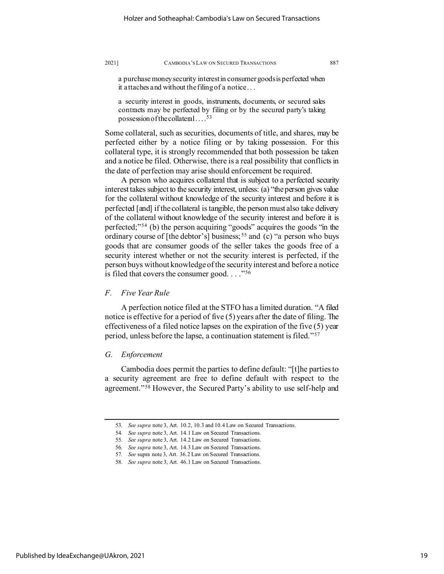a purchase money security interest in consumer goods is perfected when it attaches and without the filing of a notice . . .

a security interest in goods, instruments, documents, or secured sales contracts may be perfected by filing or by the secured party's taking possession of the collateral  $\dots$ <sup>[53](#page-19-0)</sup>

Some collateral, such as securities, documents of title, and shares, may be perfected either by a notice filing or by taking possession. For this collateral type, it is strongly recommended that both possession be taken and a notice be filed. Otherwise, there is a real possibility that conflicts in the date of perfection may arise should enforcement be required.

A person who acquires collateral that is subject to a perfected security interest takes subject to the security interest, unless: (a) "the person gives value for the collateral without knowledge of the security interest and before it is perfected [and] if the collateral is tangible, the person must also take delivery of the collateral without knowledge of the security interest and before it is perfected;"[54](#page-19-1) (b) the person acquiring "goods" acquires the goods "in the ordinary course of [the debtor's] business;<sup>[55](#page-19-2)</sup> and (c) "a person who buys goods that are consumer goods of the seller takes the goods free of a security interest whether or not the security interest is perfected, if the person buys without knowledge of the security interest and before a notice is filed that covers the consumer good. . . . "<sup>[56](#page-19-3)</sup>

# *F. Five Year Rule*

A perfection notice filed at the STFO has a limited duration. "A filed notice is effective for a period of five (5) years after the date of filing. The effectiveness of a filed notice lapses on the expiration of the five (5) year period, unless before the lapse, a continuation statement is filed."[57](#page-19-4)

### *G. Enforcement*

Cambodia does permit the parties to define default: "[t]he parties to a security agreement are free to define default with respect to the agreement."[58](#page-19-5) However, the Secured Party's ability to use self-help and

<span id="page-19-2"></span><span id="page-19-1"></span><span id="page-19-0"></span><sup>53</sup>*. See supra* note 3, Art. 10.2, 10.3 and 10.4 Law on Secured Transactions.

<sup>54</sup>*. See supra* note 3, Art. 14.1 Law on Secured Transactions.

<span id="page-19-3"></span><sup>55</sup>*. See supra* note 3, Art. 14.2 Law on Secured Transactions.

<sup>56</sup>*. See supra* note 3, Art. 14.3 Law on Secured Transactions.

<sup>57</sup>*. See* supra note 3, Art. 36.2 Law on Secured Transactions.

<span id="page-19-5"></span><span id="page-19-4"></span><sup>58</sup>*. See supra* note 3, Art. 46.1 Law on Secured Transactions.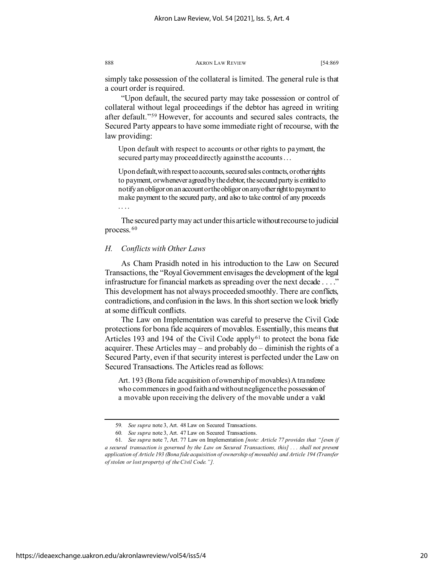simply take possession of the collateral is limited. The general rule is that a court order is required.

"Upon default, the secured party may take possession or control of collateral without legal proceedings if the debtor has agreed in writing after default."[59](#page-20-0) However, for accounts and secured sales contracts, the Secured Party appears to have some immediate right of recourse, with the law providing:

Upon default with respect to accounts or other rights to payment, the secured party may proceed directly against the accounts . . .

Upon default, with respect to accounts, secured sales contracts, or other rights to payment, or whenever agreed by the debtor, the secured party is entitled to notify an obligor on an account or the obligor on any other right to payment to make payment to the secured party, and also to take control of any proceeds . . . .

The secured party may act under this article withoutrecourse to judicial process. [60](#page-20-1)

### *H. Conflicts with Other Laws*

As Cham Prasidh noted in his introduction to the Law on Secured Transactions, the "Royal Government envisages the development of the legal infrastructure for financial markets as spreading over the next decade . . . ." This development has not always proceeded smoothly. There are conflicts, contradictions, and confusion in the laws. In this short section we look briefly at some difficult conflicts.

The Law on Implementation was careful to preserve the Civil Code protections for bona fide acquirers of movables. Essentially, this means that Articles 193 and 194 of the Civil Code apply<sup>[61](#page-20-2)</sup> to protect the bona fide acquirer. These Articles may – and probably do – diminish the rights of a Secured Party, even if that security interest is perfected under the Law on Secured Transactions. The Articles read as follows:

Art. 193 (Bona fide acquisition of ownership of movables) A transferee who commences in good faith and without negligence the possession of a movable upon receiving the delivery of the movable under a valid

<sup>59</sup>*. See supra* note 3, Art. 48 Law on Secured Transactions.

<sup>60</sup>*. See supra* note 3, Art. 47 Law on Secured Transactions.

<span id="page-20-2"></span><span id="page-20-1"></span><span id="page-20-0"></span><sup>61</sup>*. See supra* note 7, Art. 77 Law on Implementation *[note: Article 77 provides that "[even if a secured transaction is governed by the Law on Secured Transactions, this] . . . shall not prevent application of Article 193 (Bona fide acquisition of ownership of moveable) and Article 194 (Transfer of stolen or lost property) of the Civil Code."].*